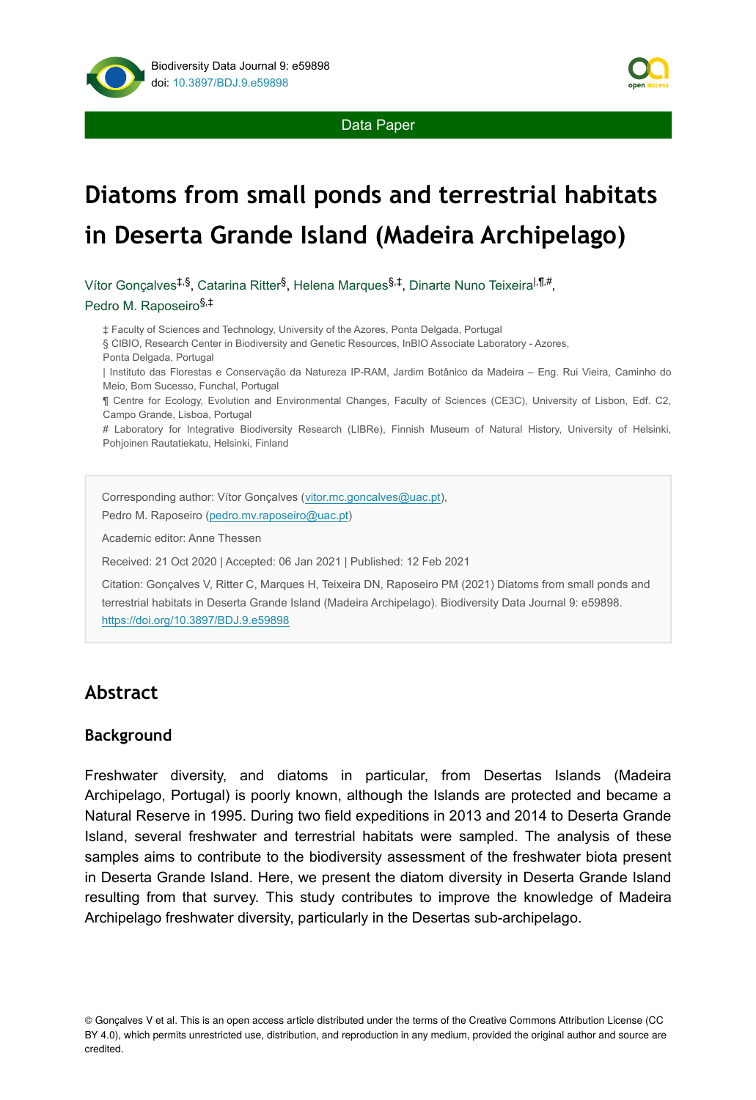

# **Diatoms from small ponds and terrestrial habitats in Deserta Grande Island (Madeira Archipelago)**

Vítor Gonçalves<sup>‡,§</sup>, Catarina Ritter<sup>§</sup>, Helena Marques<sup>§,‡</sup>, Dinarte Nuno Teixeira<sup>|,¶,#</sup>, Pedro M. Raposeiro §,‡

‡ Faculty of Sciences and Technology, University of the Azores, Ponta Delgada, Portugal

§ CIBIO, Research Center in Biodiversity and Genetic Resources, InBIO Associate Laboratory - Azores, Ponta Delgada, Portugal

| Instituto das Florestas e Conservação da Natureza IP-RAM, Jardim Botânico da Madeira – Eng. Rui Vieira, Caminho do Meio, Bom Sucesso, Funchal, Portugal

¶ Centre for Ecology, Evolution and Environmental Changes, Faculty of Sciences (CE3C), University of Lisbon, Edf. C2, Campo Grande, Lisboa, Portugal

# Laboratory for Integrative Biodiversity Research (LIBRe), Finnish Museum of Natural History, University of Helsinki, Pohjoinen Rautatiekatu, Helsinki, Finland

Corresponding author: Vítor Gonçalves ([vitor.mc.goncalves@uac.pt](mailto:vitor.mc.goncalves@uac.pt)), Pedro M. Raposeiro [\(pedro.mv.raposeiro@uac.pt](mailto:pedro.mv.raposeiro@uac.pt))

Academic editor: Anne Thessen

Received: 21 Oct 2020 | Accepted: 06 Jan 2021 | Published: 12 Feb 2021

Citation: Gonçalves V, Ritter C, Marques H, Teixeira DN, Raposeiro PM (2021) Diatoms from small ponds and terrestrial habitats in Deserta Grande Island (Madeira Archipelago). Biodiversity Data Journal 9: e59898. <https://doi.org/10.3897/BDJ.9.e59898>

# **Abstract**

#### **Background**

Freshwater diversity, and diatoms in particular, from Desertas Islands (Madeira Archipelago, Portugal) is poorly known, although the Islands are protected and became a Natural Reserve in 1995. During two field expeditions in 2013 and 2014 to Deserta Grande Island, several freshwater and terrestrial habitats were sampled. The analysis of these samples aims to contribute to the biodiversity assessment of the freshwater biota present in Deserta Grande Island. Here, we present the diatom diversity in Deserta Grande Island resulting from that survey. This study contributes to improve the knowledge of Madeira Archipelago freshwater diversity, particularly in the Desertas sub-archipelago.

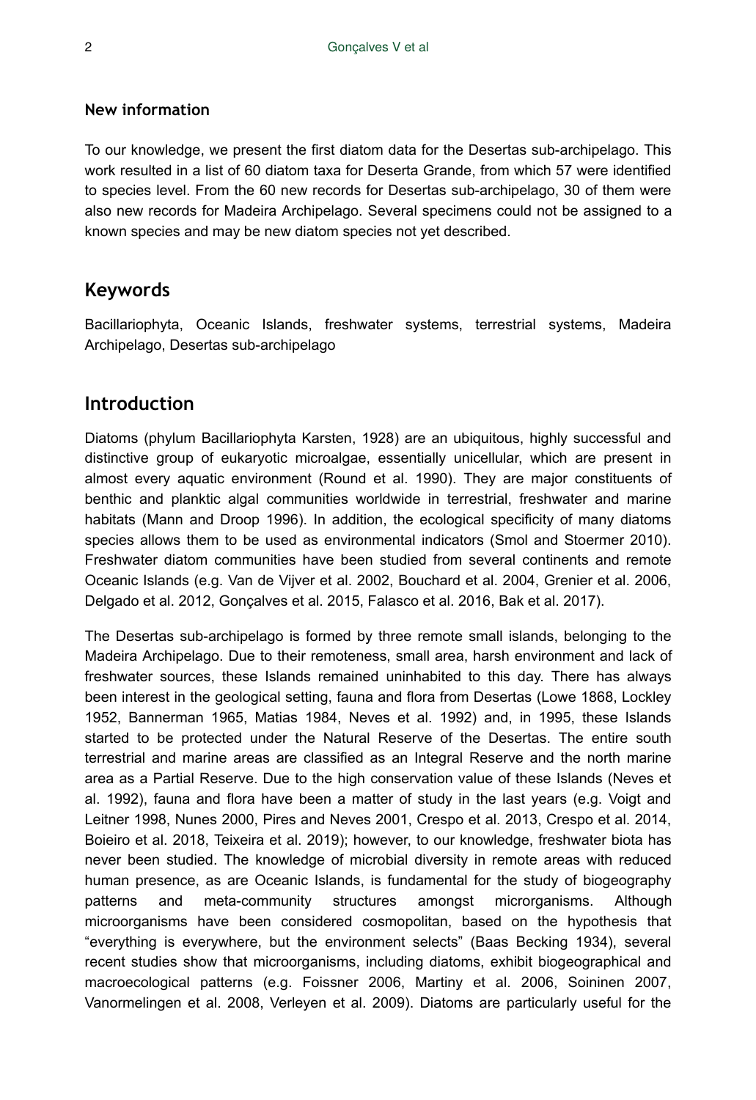#### **New information**

To our knowledge, we present the first diatom data for the Desertas sub-archipelago. This work resulted in a list of 60 diatom taxa for Deserta Grande, from which 57 were identified to species level. From the 60 new records for Desertas sub-archipelago, 30 of them were also new records for Madeira Archipelago. Several specimens could not be assigned to a known species and may be new diatom species not yet described.

#### **Keywords**

Bacillariophyta, Oceanic Islands, freshwater systems, terrestrial systems, Madeira Archipelago, Desertas sub-archipelago

#### **Introduction**

Diatoms (phylum Bacillariophyta Karsten, 1928) are an ubiquitous, highly successful and distinctive group of eukaryotic microalgae, essentially unicellular, which are present in almost every aquatic environment (Round et al. 1990). They are major constituents of benthic and planktic algal communities worldwide in terrestrial, freshwater and marine habitats (Mann and Droop 1996). In addition, the ecological specificity of many diatoms species allows them to be used as environmental indicators (Smol and Stoermer 2010). Freshwater diatom communities have been studied from several continents and remote Oceanic Islands (e.g. Van de Vijver et al. 2002, Bouchard et al. 2004, Grenier et al. 2006, Delgado et al. 2012, Gonçalves et al. 2015, Falasco et al. 2016, Bak et al. 2017).

The Desertas sub-archipelago is formed by three remote small islands, belonging to the Madeira Archipelago. Due to their remoteness, small area, harsh environment and lack of freshwater sources, these Islands remained uninhabited to this day. There has always been interest in the geological setting, fauna and flora from Desertas (Lowe 1868, Lockley 1952, Bannerman 1965, Matias 1984, Neves et al. 1992) and, in 1995, these Islands started to be protected under the Natural Reserve of the Desertas. The entire south terrestrial and marine areas are classified as an Integral Reserve and the north marine area as a Partial Reserve. Due to the high conservation value of these Islands (Neves et al. 1992), fauna and flora have been a matter of study in the last years (e.g. Voigt and Leitner 1998, Nunes 2000, Pires and Neves 2001, Crespo et al. 2013, Crespo et al. 2014, Boieiro et al. 2018, Teixeira et al. 2019); however, to our knowledge, freshwater biota has never been studied. The knowledge of microbial diversity in remote areas with reduced human presence, as are Oceanic Islands, is fundamental for the study of biogeography patterns and meta-community structures amongst microrganisms. Although microorganisms have been considered cosmopolitan, based on the hypothesis that "everything is everywhere, but the environment selects" (Baas Becking 1934), several recent studies show that microorganisms, including diatoms, exhibit biogeographical and macroecological patterns (e.g. Foissner 2006, Martiny et al. 2006, Soininen 2007, Vanormelingen et al. 2008, Verleyen et al. 2009). Diatoms are particularly useful for the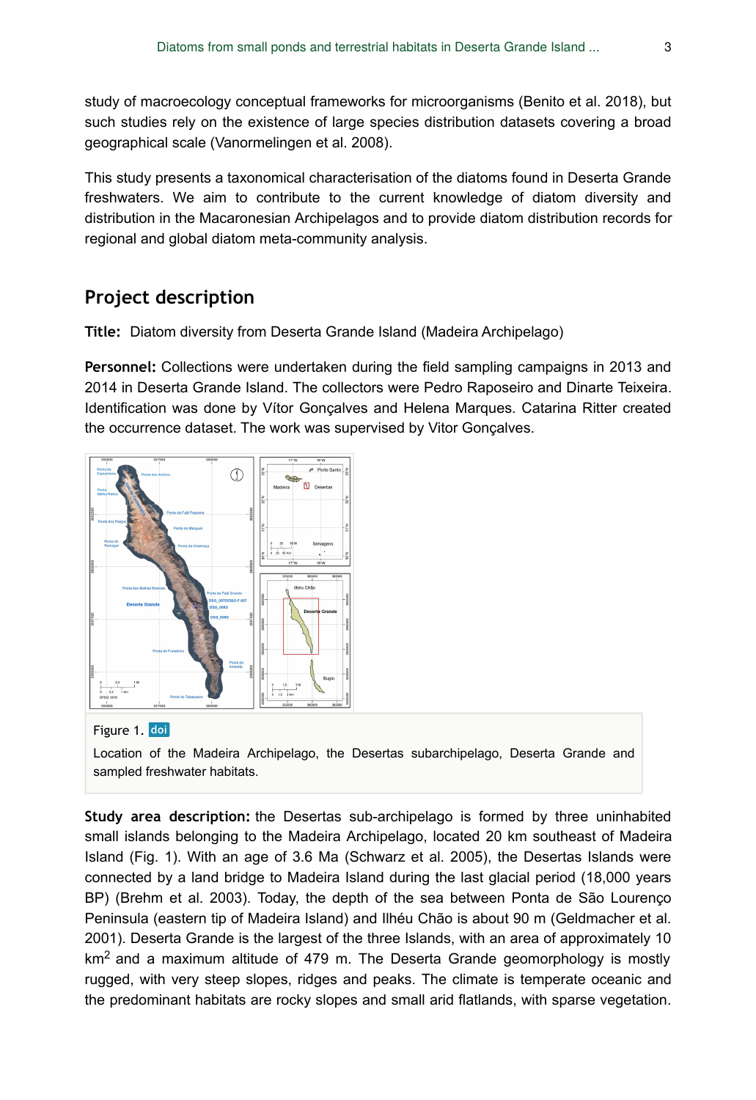study of macroecology conceptual frameworks for microorganisms (Benito et al. 2018), but such studies rely on the existence of large species distribution datasets covering a broad geographical scale (Vanormelingen et al. 2008).

This study presents a taxonomical characterisation of the diatoms found in Deserta Grande freshwaters. We aim to contribute to the current knowledge of diatom diversity and distribution in the Macaronesian Archipelagos and to provide diatom distribution records for regional and global diatom meta-community analysis.

## **Project description**

**Title:** Diatom diversity from Deserta Grande Island (Madeira Archipelago)

**Personnel:** Collections were undertaken during the field sampling campaigns in 2013 and 2014 in Deserta Grande Island. The collectors were Pedro Raposeiro and Dinarte Teixeira. Identification was done by Vítor Gonçalves and Helena Marques. Catarina Ritter created the occurrence dataset. The work was supervised by Vitor Gonçalves.



#### Figure 1. doi

Location of the Madeira Archipelago, the Desertas subarchipelago, Deserta Grande and sampled freshwater habitats.

**Study area description:** the Desertas sub-archipelago is formed by three uninhabited small islands belonging to the Madeira Archipelago, located 20 km southeast of Madeira Island (Fig. 1). With an age of 3.6 Ma (Schwarz et al. 2005), the Desertas Islands were connected by a land bridge to Madeira Island during the last glacial period (18,000 years BP) (Brehm et al. 2003). Today, the depth of the sea between Ponta de São Lourenço Peninsula (eastern tip of Madeira Island) and Ilhéu Chão is about 90 m (Geldmacher et al. 2001). Deserta Grande is the largest of the three Islands, with an area of approximately 10  $km<sup>2</sup>$  and a maximum altitude of 479 m. The Deserta Grande geomorphology is mostly rugged, with very steep slopes, ridges and peaks. The climate is temperate oceanic and the predominant habitats are rocky slopes and small arid flatlands, with sparse vegetation.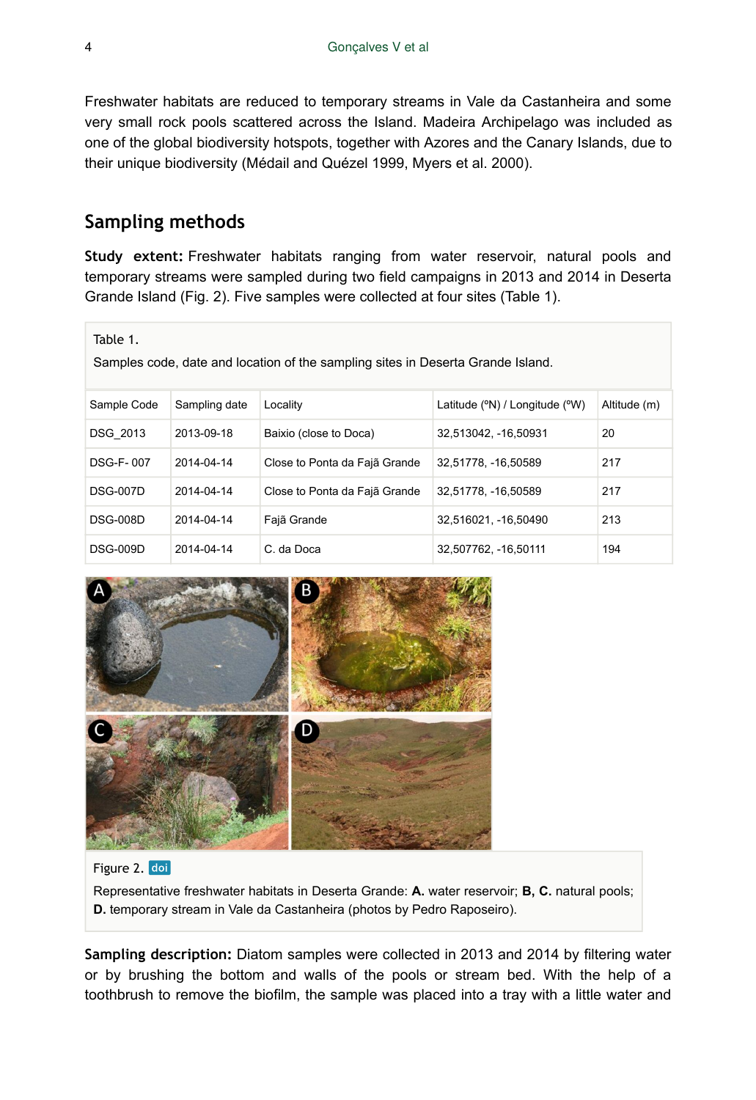Freshwater habitats are reduced to temporary streams in Vale da Castanheira and some very small rock pools scattered across the Island. Madeira Archipelago was included as one of the global biodiversity hotspots, together with Azores and the Canary Islands, due to their unique biodiversity (Médail and Quézel 1999, Myers et al. 2000).

# **Sampling methods**

**Study extent:** Freshwater habitats ranging from water reservoir, natural pools and temporary streams were sampled during two field campaigns in 2013 and 2014 in Deserta Grande Island (Fig. 2). Five samples were collected at four sites (Table 1).

#### Table 1.

Samples code, date and location of the sampling sites in Deserta Grande Island.

| Sample Code      | Sampling date | Locality                      | Latitude $(°N) /$ Longitude $(°W)$ | Altitude (m) |
|------------------|---------------|-------------------------------|------------------------------------|--------------|
| DSG 2013         | 2013-09-18    | Baixio (close to Doca)        | 32,513042, -16,50931               | 20           |
| <b>DSG-F-007</b> | 2014-04-14    | Close to Ponta da Fajã Grande | 32,51778, -16,50589                | 217          |
| <b>DSG-007D</b>  | 2014-04-14    | Close to Ponta da Fajã Grande | 32,51778, -16,50589                | 217          |
| <b>DSG-008D</b>  | 2014-04-14    | Fajã Grande                   | 32,516021, -16,50490               | 213          |
| <b>DSG-009D</b>  | 2014-04-14    | C. da Doca                    | 32,507762, -16,50111               | 194          |



#### Figure 2. doi

Representative freshwater habitats in Deserta Grande: **A.** water reservoir; **B, C.** natural pools; **D.** temporary stream in Vale da Castanheira (photos by Pedro Raposeiro).

**Sampling description:** Diatom samples were collected in 2013 and 2014 by filtering water or by brushing the bottom and walls of the pools or stream bed. With the help of a toothbrush to remove the biofilm, the sample was placed into a tray with a little water and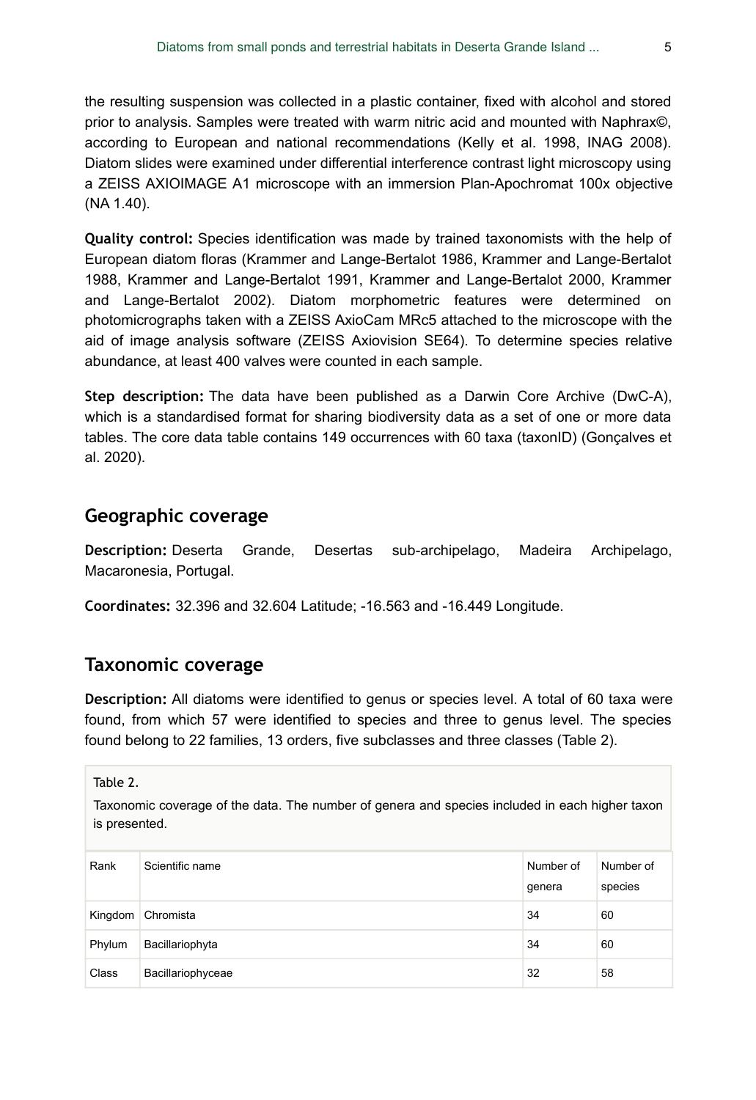the resulting suspension was collected in a plastic container, fixed with alcohol and stored prior to analysis. Samples were treated with warm nitric acid and mounted with Naphrax©, according to European and national recommendations (Kelly et al. 1998, INAG 2008). Diatom slides were examined under differential interference contrast light microscopy using a ZEISS AXIOIMAGE A1 microscope with an immersion Plan-Apochromat 100x objective (NA 1.40).

**Quality control:** Species identification was made by trained taxonomists with the help of European diatom floras (Krammer and Lange-Bertalot 1986, Krammer and Lange-Bertalot 1988, Krammer and Lange-Bertalot 1991, Krammer and Lange-Bertalot 2000, Krammer and Lange-Bertalot 2002). Diatom morphometric features were determined on photomicrographs taken with a ZEISS AxioCam MRc5 attached to the microscope with the aid of image analysis software (ZEISS Axiovision SE64). To determine species relative abundance, at least 400 valves were counted in each sample.

**Step description:** The data have been published as a Darwin Core Archive (DwC-A), which is a standardised format for sharing biodiversity data as a set of one or more data tables. The core data table contains 149 occurrences with 60 taxa (taxonID) (Gonçalves et al. 2020).

## **Geographic coverage**

**Description:** Deserta Grande, Desertas sub-archipelago, Madeira Archipelago, Macaronesia, Portugal.

**Coordinates:** 32.396 and 32.604 Latitude; -16.563 and -16.449 Longitude.

#### **Taxonomic coverage**

**Description:** All diatoms were identified to genus or species level. A total of 60 taxa were found, from which 57 were identified to species and three to genus level. The species found belong to 22 families, 13 orders, five subclasses and three classes (Table 2).

Table 2.

Taxonomic coverage of the data. The number of genera and species included in each higher taxon is presented.

| Rank    | Scientific name   | Number of<br>genera | Number of<br>species |
|---------|-------------------|---------------------|----------------------|
| Kingdom | Chromista         | 34                  | 60                   |
| Phylum  | Bacillariophyta   | 34                  | 60                   |
| Class   | Bacillariophyceae | 32                  | 58                   |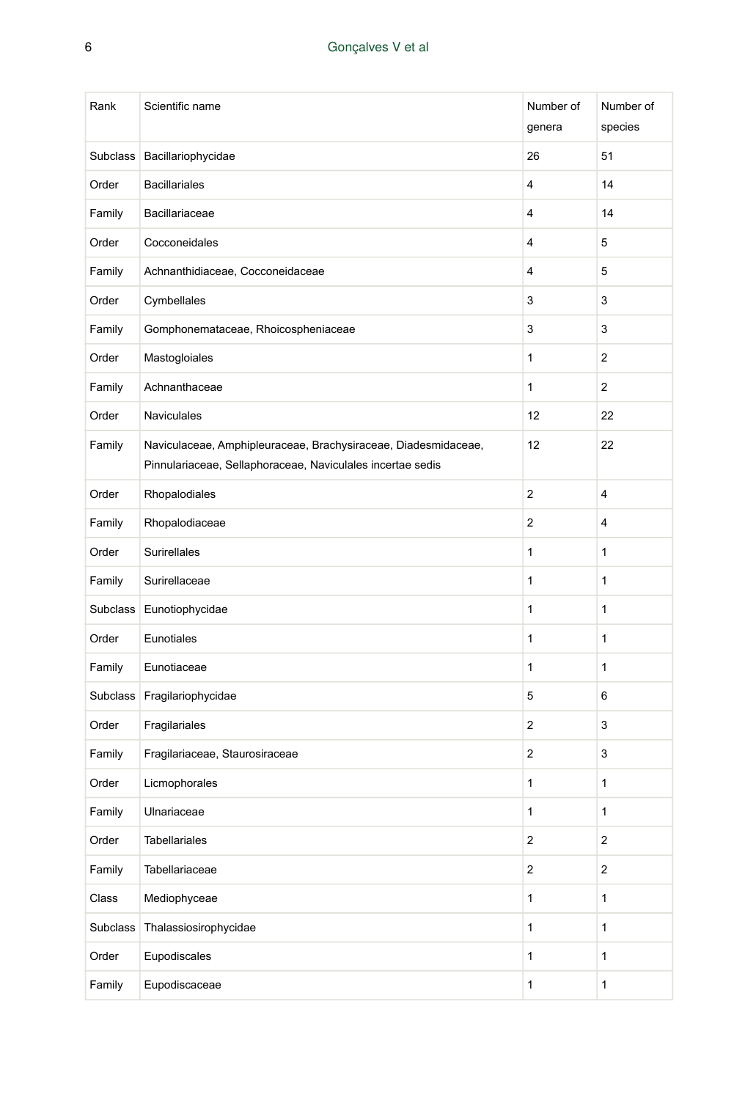| Rank     | Scientific name                                                                                                              | Number of<br>genera     | Number of<br>species |
|----------|------------------------------------------------------------------------------------------------------------------------------|-------------------------|----------------------|
| Subclass | Bacillariophycidae                                                                                                           | 26                      | 51                   |
| Order    | <b>Bacillariales</b>                                                                                                         | 4                       | 14                   |
| Family   | Bacillariaceae                                                                                                               | 4                       | 14                   |
| Order    | Cocconeidales                                                                                                                | 4                       | 5                    |
| Family   | Achnanthidiaceae, Cocconeidaceae                                                                                             | 4                       | 5                    |
| Order    | Cymbellales                                                                                                                  | 3                       | 3                    |
| Family   | Gomphonemataceae, Rhoicospheniaceae                                                                                          | 3                       | 3                    |
| Order    | Mastogloiales                                                                                                                | 1                       | 2                    |
| Family   | Achnanthaceae                                                                                                                | 1                       | 2                    |
| Order    | <b>Naviculales</b>                                                                                                           | 12                      | 22                   |
| Family   | Naviculaceae, Amphipleuraceae, Brachysiraceae, Diadesmidaceae,<br>Pinnulariaceae, Sellaphoraceae, Naviculales incertae sedis | 12                      | 22                   |
| Order    | Rhopalodiales                                                                                                                | 2                       | 4                    |
| Family   | Rhopalodiaceae                                                                                                               | $\overline{\mathbf{c}}$ | 4                    |
| Order    | <b>Surirellales</b>                                                                                                          | 1                       | 1                    |
| Family   | Surirellaceae                                                                                                                | 1                       | 1                    |
|          | Subclass Eunotiophycidae                                                                                                     | 1                       | 1                    |
| Order    | Eunotiales                                                                                                                   | 1                       | 1                    |
| Family   | Eunotiaceae                                                                                                                  | 1                       | 1                    |
|          | Subclass Fragilariophycidae                                                                                                  | 5                       | 6                    |
| Order    | Fragilariales                                                                                                                | 2                       | 3                    |
| Family   | Fragilariaceae, Staurosiraceae                                                                                               | 2                       | 3                    |
| Order    | Licmophorales                                                                                                                | 1                       | 1                    |
| Family   | Ulnariaceae                                                                                                                  | 1                       | 1                    |
| Order    | <b>Tabellariales</b>                                                                                                         | $\mathbf 2$             | 2                    |
| Family   | Tabellariaceae                                                                                                               | $\mathbf 2$             | $\boldsymbol{2}$     |
| Class    | Mediophyceae                                                                                                                 | $\mathbf{1}$            | $\mathbf{1}$         |
| Subclass | Thalassiosirophycidae                                                                                                        | 1                       | 1                    |
| Order    | Eupodiscales                                                                                                                 | 1                       | $\mathbf{1}$         |
| Family   | Eupodiscaceae                                                                                                                | 1                       | $\mathbf{1}$         |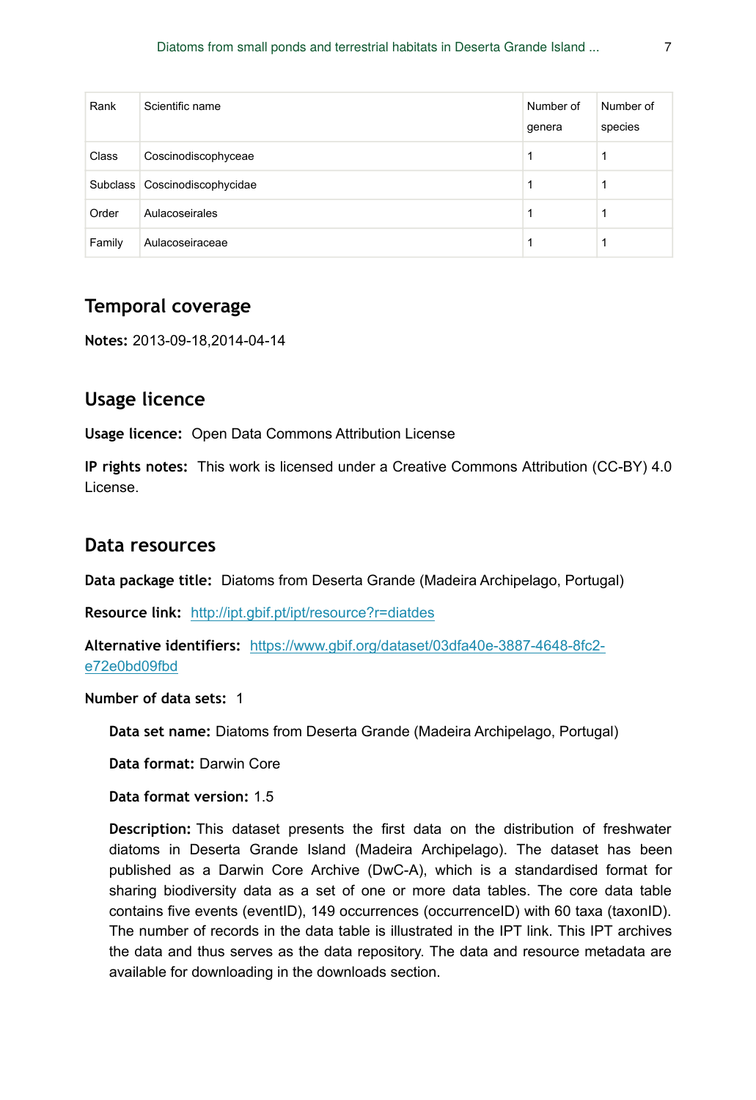| Rank   | Scientific name               | Number of<br>genera | Number of<br>species |
|--------|-------------------------------|---------------------|----------------------|
| Class  | Coscinodiscophyceae           |                     |                      |
|        | Subclass Coscinodiscophycidae |                     |                      |
| Order  | Aulacoseirales                |                     |                      |
| Family | Aulacoseiraceae               |                     |                      |

# **Temporal coverage**

**Notes:** 2013-09-18,2014-04-14

# **Usage licence**

**Usage licence:** Open Data Commons Attribution License

**IP rights notes:** This work is licensed under a Creative Commons Attribution (CC-BY) 4.0 License.

## **Data resources**

**Data package title:** Diatoms from Deserta Grande (Madeira Archipelago, Portugal)

**Resource link:** <http://ipt.gbif.pt/ipt/resource?r=diatdes>

**Alternative identifiers:** [https://www.gbif.org/dataset/03dfa40e-3887-4648-8fc2](https://www.gbif.org/dataset/03dfa40e-3887-4648-8fc2-e72e0bd09fbd) [e72e0bd09fbd](https://www.gbif.org/dataset/03dfa40e-3887-4648-8fc2-e72e0bd09fbd)

**Number of data sets:** 1

**Data set name:** Diatoms from Deserta Grande (Madeira Archipelago, Portugal)

**Data format:** Darwin Core

**Data format version:** 1.5

**Description:** This dataset presents the first data on the distribution of freshwater diatoms in Deserta Grande Island (Madeira Archipelago). The dataset has been published as a Darwin Core Archive (DwC-A), which is a standardised format for sharing biodiversity data as a set of one or more data tables. The core data table contains five events (eventID), 149 occurrences (occurrenceID) with 60 taxa (taxonID). The number of records in the data table is illustrated in the IPT link. This IPT archives the data and thus serves as the data repository. The data and resource metadata are available for downloading in the downloads section.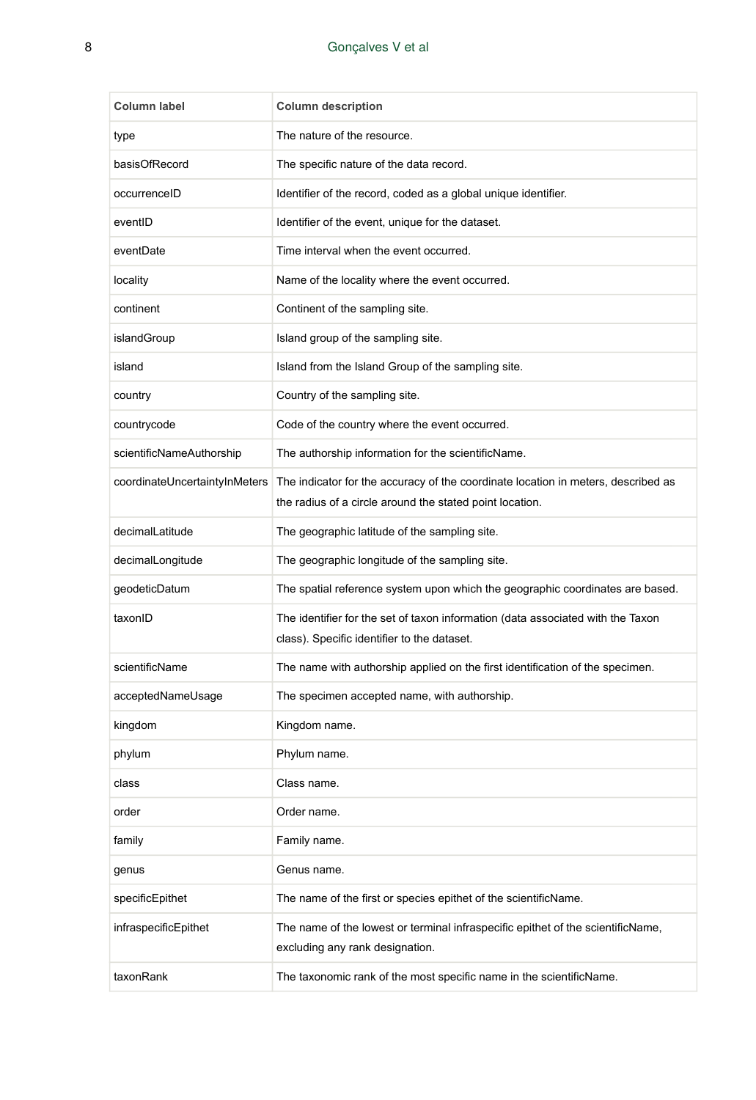| Column label                  | <b>Column description</b>                                                                                                                     |
|-------------------------------|-----------------------------------------------------------------------------------------------------------------------------------------------|
| type                          | The nature of the resource.                                                                                                                   |
| basisOfRecord                 | The specific nature of the data record.                                                                                                       |
| occurrenceID                  | Identifier of the record, coded as a global unique identifier.                                                                                |
| eventID                       | Identifier of the event, unique for the dataset.                                                                                              |
| eventDate                     | Time interval when the event occurred.                                                                                                        |
| locality                      | Name of the locality where the event occurred.                                                                                                |
| continent                     | Continent of the sampling site.                                                                                                               |
| islandGroup                   | Island group of the sampling site.                                                                                                            |
| island                        | Island from the Island Group of the sampling site.                                                                                            |
| country                       | Country of the sampling site.                                                                                                                 |
| countrycode                   | Code of the country where the event occurred.                                                                                                 |
| scientificNameAuthorship      | The authorship information for the scientificName.                                                                                            |
| coordinateUncertaintyInMeters | The indicator for the accuracy of the coordinate location in meters, described as<br>the radius of a circle around the stated point location. |
| decimalLatitude               | The geographic latitude of the sampling site.                                                                                                 |
| decimalLongitude              | The geographic longitude of the sampling site.                                                                                                |
| geodeticDatum                 | The spatial reference system upon which the geographic coordinates are based.                                                                 |
| taxonID                       | The identifier for the set of taxon information (data associated with the Taxon<br>class). Specific identifier to the dataset.                |
| scientificName                | The name with authorship applied on the first identification of the specimen.                                                                 |
| acceptedNameUsage             | The specimen accepted name, with authorship.                                                                                                  |
| kingdom                       | Kingdom name.                                                                                                                                 |
| phylum                        | Phylum name.                                                                                                                                  |
| class                         | Class name.                                                                                                                                   |
| order                         | Order name.                                                                                                                                   |
| family                        | Family name.                                                                                                                                  |
| genus                         | Genus name.                                                                                                                                   |
| specificEpithet               | The name of the first or species epithet of the scientificName.                                                                               |
| infraspecificEpithet          | The name of the lowest or terminal infraspecific epithet of the scientificName,<br>excluding any rank designation.                            |
| taxonRank                     | The taxonomic rank of the most specific name in the scientificName.                                                                           |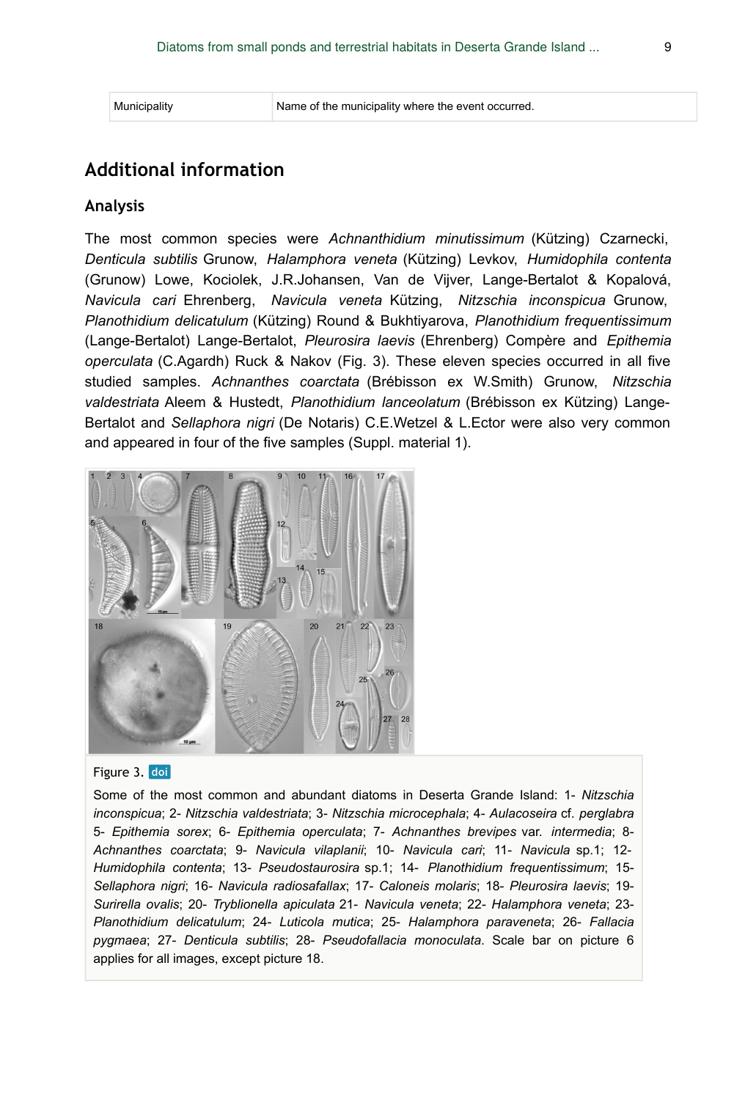## **Additional information**

#### **Analysis**

The most common species were *Achnanthidium minutissimum* (Kützing) Czarnecki, *Denticula subtilis* Grunow, *Halamphora veneta* (Kützing) Levkov, *Humidophila contenta* (Grunow) Lowe, Kociolek, J.R.Johansen, Van de Vijver, Lange-Bertalot & Kopalová, *Navicula cari* Ehrenberg, *Navicula veneta* Kützing, *Nitzschia inconspicua* Grunow, *Planothidium delicatulum* (Kützing) Round & Bukhtiyarova, *Planothidium frequentissimum* (Lange-Bertalot) Lange-Bertalot, *Pleurosira laevis* (Ehrenberg) Compère and *Epithemia operculata* (C.Agardh) Ruck & Nakov (Fig. 3). These eleven species occurred in all five studied samples. *Achnanthes coarctata* (Brébisson ex W.Smith) Grunow, *Nitzschia valdestriata* Aleem & Hustedt, *Planothidium lanceolatum* (Brébisson ex Kützing) Lange-Bertalot and *Sellaphora nigri* (De Notaris) C.E.Wetzel & L.Ector were also very common and appeared in four of the five samples (Suppl. material 1).



#### Figure 3. doi

Some of the most common and abundant diatoms in Deserta Grande Island: 1- *Nitzschia inconspicua*; 2- *Nitzschia valdestriata*; 3- *Nitzschia microcephala*; 4- *Aulacoseira* cf. *perglabra* 5- *Epithemia sorex*; 6- *Epithemia operculata*; 7- *Achnanthes brevipes* var. *intermedia*; 8- *Achnanthes coarctata*; 9- *Navicula vilaplanii*; 10- *Navicula cari*; 11- *Navicula* sp.1; 12- *Humidophila contenta*; 13- *Pseudostaurosira* sp.1; 14- *Planothidium frequentissimum*; 15- *Sellaphora nigri*; 16- *Navicula radiosafallax*; 17- *Caloneis molaris*; 18- *Pleurosira laevis*; 19- *Surirella ovalis*; 20- *Tryblionella apiculata* 21- *Navicula veneta*; 22- *Halamphora veneta*; 23- *Planothidium delicatulum*; 24- *Luticola mutica*; 25- *Halamphora paraveneta*; 26- *Fallacia pygmaea*; 27- *Denticula subtilis*; 28- *Pseudofallacia monoculata*. Scale bar on picture 6 applies for all images, except picture 18.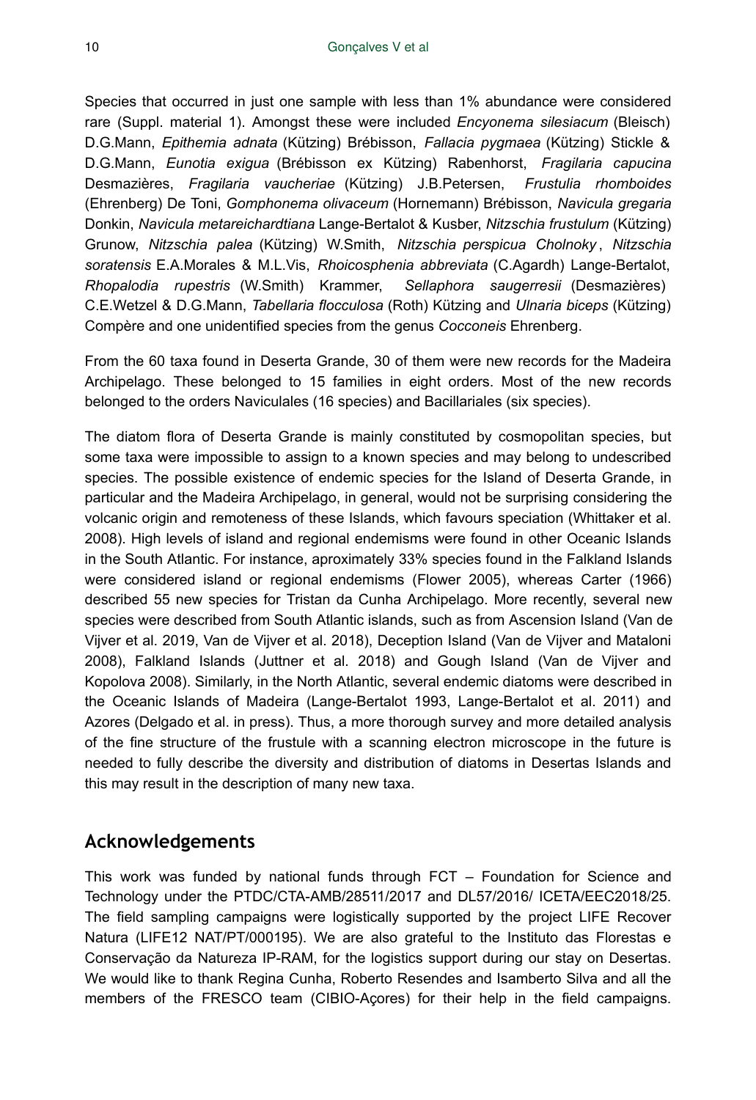Species that occurred in just one sample with less than 1% abundance were considered rare (Suppl. material 1). Amongst these were included *Encyonema silesiacum* (Bleisch) D.G.Mann, *Epithemia adnata* (Kützing) Brébisson, *Fallacia pygmaea* (Kützing) Stickle & D.G.Mann, *Eunotia exigua* (Brébisson ex Kützing) Rabenhorst, *Fragilaria capucina* Desmazières, *Fragilaria vaucheriae* (Kützing) J.B.Petersen, *Frustulia rhomboides* (Ehrenberg) De Toni, *Gomphonema olivaceum* (Hornemann) Brébisson, *Navicula gregaria* Donkin, *Navicula metareichardtiana* Lange-Bertalot & Kusber, *Nitzschia frustulum* (Kützing) Grunow, *Nitzschia palea* (Kützing) W.Smith, *Nitzschia perspicua Cholnoky* , *Nitzschia soratensis* E.A.Morales & M.L.Vis, *Rhoicosphenia abbreviata* (C.Agardh) Lange-Bertalot, *Rhopalodia rupestris* (W.Smith) Krammer, *Sellaphora saugerresii* (Desmazières) C.E.Wetzel & D.G.Mann, *Tabellaria flocculosa* (Roth) Kützing and *Ulnaria biceps* (Kützing) Compère and one unidentified species from the genus *Cocconeis* Ehrenberg.

From the 60 taxa found in Deserta Grande, 30 of them were new records for the Madeira Archipelago. These belonged to 15 families in eight orders. Most of the new records belonged to the orders Naviculales (16 species) and Bacillariales (six species).

The diatom flora of Deserta Grande is mainly constituted by cosmopolitan species, but some taxa were impossible to assign to a known species and may belong to undescribed species. The possible existence of endemic species for the Island of Deserta Grande, in particular and the Madeira Archipelago, in general, would not be surprising considering the volcanic origin and remoteness of these Islands, which favours speciation (Whittaker et al. 2008). High levels of island and regional endemisms were found in other Oceanic Islands in the South Atlantic. For instance, aproximately 33% species found in the Falkland Islands were considered island or regional endemisms (Flower 2005), whereas Carter (1966) described 55 new species for Tristan da Cunha Archipelago. More recently, several new species were described from South Atlantic islands, such as from Ascension Island (Van de Vijver et al. 2019, Van de Vijver et al. 2018), Deception Island (Van de Vijver and Mataloni 2008), Falkland Islands (Juttner et al. 2018) and Gough Island (Van de Vijver and Kopolova 2008). Similarly, in the North Atlantic, several endemic diatoms were described in the Oceanic Islands of Madeira (Lange-Bertalot 1993, Lange-Bertalot et al. 2011) and Azores (Delgado et al. in press). Thus, a more thorough survey and more detailed analysis of the fine structure of the frustule with a scanning electron microscope in the future is needed to fully describe the diversity and distribution of diatoms in Desertas Islands and this may result in the description of many new taxa.

## **Acknowledgements**

This work was funded by national funds through FCT – Foundation for Science and Technology under the PTDC/CTA-AMB/28511/2017 and DL57/2016/ ICETA/EEC2018/25. The field sampling campaigns were logistically supported by the project LIFE Recover Natura (LIFE12 NAT/PT/000195). We are also grateful to the Instituto das Florestas e Conservação da Natureza IP-RAM, for the logistics support during our stay on Desertas. We would like to thank Regina Cunha, Roberto Resendes and Isamberto Silva and all the members of the FRESCO team (CIBIO-Açores) for their help in the field campaigns.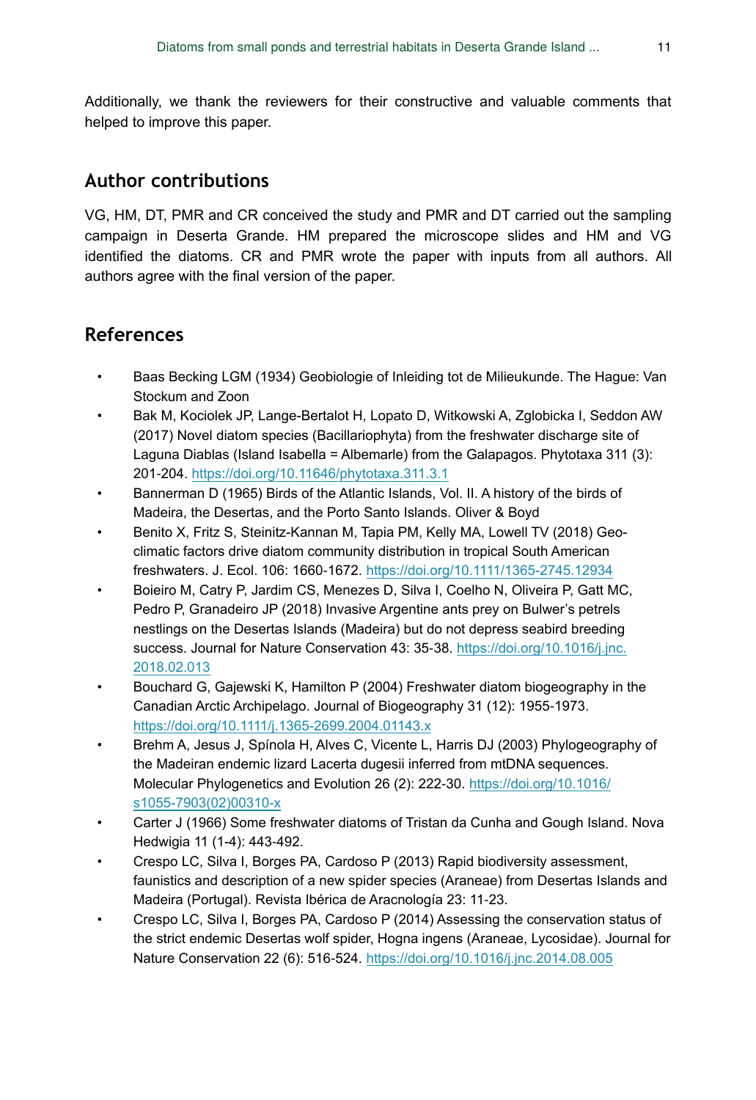Additionally, we thank the reviewers for their constructive and valuable comments that helped to improve this paper.

## **Author contributions**

VG, HM, DT, PMR and CR conceived the study and PMR and DT carried out the sampling campaign in Deserta Grande. HM prepared the microscope slides and HM and VG identified the diatoms. CR and PMR wrote the paper with inputs from all authors. All authors agree with the final version of the paper.

## **References**

- Baas Becking LGM (1934) Geobiologie of Inleiding tot de Milieukunde. The Hague: Van Stockum and Zoon
- Bak M, Kociolek JP, Lange-Bertalot H, Lopato D, Witkowski A, Zglobicka I, Seddon AW (2017) Novel diatom species (Bacillariophyta) from the freshwater discharge site of Laguna Diablas (Island Isabella = Albemarle) from the Galapagos. Phytotaxa 311 (3): 201‑204. <https://doi.org/10.11646/phytotaxa.311.3.1>
- Bannerman D (1965) Birds of the Atlantic Islands, Vol. II. A history of the birds of Madeira, the Desertas, and the Porto Santo Islands. Oliver & Boyd
- Benito X, Fritz S, Steinitz-Kannan M, Tapia PM, Kelly MA, Lowell TV (2018) Geoclimatic factors drive diatom community distribution in tropical South American freshwaters. J. Ecol. 106: 1660‑1672.<https://doi.org/10.1111/1365-2745.12934>
- Boieiro M, Catry P, Jardim CS, Menezes D, Silva I, Coelho N, Oliveira P, Gatt MC, Pedro P, Granadeiro JP (2018) Invasive Argentine ants prey on Bulwer's petrels nestlings on the Desertas Islands (Madeira) but do not depress seabird breeding success. Journal for Nature Conservation 43: 35-38. [https://doi.org/10.1016/j.jnc.](https://doi.org/10.1016/j.jnc.2018.02.013) [2018.02.013](https://doi.org/10.1016/j.jnc.2018.02.013)
- Bouchard G, Gajewski K, Hamilton P (2004) Freshwater diatom biogeography in the Canadian Arctic Archipelago. Journal of Biogeography 31 (12): 1955‑1973. <https://doi.org/10.1111/j.1365-2699.2004.01143.x>
- Brehm A, Jesus J, Spínola H, Alves C, Vicente L, Harris DJ (2003) Phylogeography of the Madeiran endemic lizard Lacerta dugesii inferred from mtDNA sequences. Molecular Phylogenetics and Evolution 26 (2): 222‑30. [https://doi.org/10.1016/](https://doi.org/10.1016/s1055-7903(02)00310-x) [s1055-7903\(02\)00310-x](https://doi.org/10.1016/s1055-7903(02)00310-x)
- Carter J (1966) Some freshwater diatoms of Tristan da Cunha and Gough Island. Nova Hedwigia 11 (1-4): 443‑492.
- Crespo LC, Silva I, Borges PA, Cardoso P (2013) Rapid biodiversity assessment, faunistics and description of a new spider species (Araneae) from Desertas Islands and Madeira (Portugal). Revista Ibérica de Aracnología 23: 11‑23.
- Crespo LC, Silva I, Borges PA, Cardoso P (2014) Assessing the conservation status of the strict endemic Desertas wolf spider, Hogna ingens (Araneae, Lycosidae). Journal for Nature Conservation 22 (6): 516‑524.<https://doi.org/10.1016/j.jnc.2014.08.005>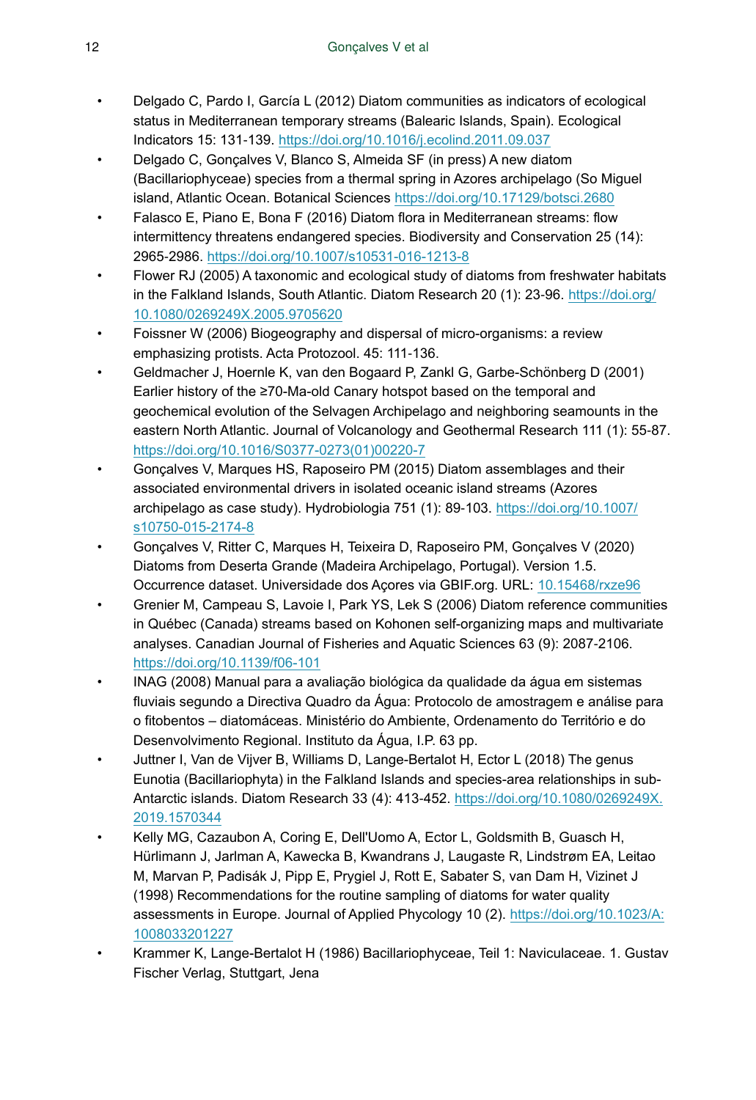- Delgado C, Pardo I, García L (2012) Diatom communities as indicators of ecological status in Mediterranean temporary streams (Balearic Islands, Spain). Ecological Indicators 15: 131‑139.<https://doi.org/10.1016/j.ecolind.2011.09.037>
- Delgado C, Gonçalves V, Blanco S, Almeida SF (in press) A new diatom (Bacillariophyceae) species from a thermal spring in Azores archipelago (So Miguel island, Atlantic Ocean. Botanical Sciences <https://doi.org/10.17129/botsci.2680>
- Falasco E, Piano E, Bona F (2016) Diatom flora in Mediterranean streams: flow intermittency threatens endangered species. Biodiversity and Conservation 25 (14): 2965‑2986.<https://doi.org/10.1007/s10531-016-1213-8>
- Flower RJ (2005) A taxonomic and ecological study of diatoms from freshwater habitats in the Falkland Islands, South Atlantic. Diatom Research 20 (1): 23‑96. [https://doi.org/](https://doi.org/10.1080/0269249X.2005.9705620) [10.1080/0269249X.2005.9705620](https://doi.org/10.1080/0269249X.2005.9705620)
- Foissner W (2006) Biogeography and dispersal of micro-organisms: a review emphasizing protists. Acta Protozool. 45: 111-136.
- Geldmacher J, Hoernle K, van den Bogaard P, Zankl G, Garbe-Schönberg D (2001) Earlier history of the ≥70-Ma-old Canary hotspot based on the temporal and geochemical evolution of the Selvagen Archipelago and neighboring seamounts in the eastern North Atlantic. Journal of Volcanology and Geothermal Research 111 (1): 55-87. [https://doi.org/10.1016/S0377-0273\(01\)00220-7](https://doi.org/10.1016/S0377-0273(01)00220-7)
- Gonçalves V, Marques HS, Raposeiro PM (2015) Diatom assemblages and their associated environmental drivers in isolated oceanic island streams (Azores archipelago as case study). Hydrobiologia 751 (1): 89‑103. [https://doi.org/10.1007/](https://doi.org/10.1007/s10750-015-2174-8) [s10750-015-2174-8](https://doi.org/10.1007/s10750-015-2174-8)
- Gonçalves V, Ritter C, Marques H, Teixeira D, Raposeiro PM, Gonçalves V (2020) Diatoms from Deserta Grande (Madeira Archipelago, Portugal). Version 1.5. Occurrence dataset. Universidade dos Açores via GBIF.org. URL: [10.15468/rxze96](http://10.15468/rxze96)
- Grenier M, Campeau S, Lavoie I, Park YS, Lek S (2006) Diatom reference communities in Québec (Canada) streams based on Kohonen self-organizing maps and multivariate analyses. Canadian Journal of Fisheries and Aquatic Sciences 63 (9): 2087‑2106. <https://doi.org/10.1139/f06-101>
- INAG (2008) Manual para a avaliação biológica da qualidade da água em sistemas fluviais segundo a Directiva Quadro da Água: Protocolo de amostragem e análise para o fitobentos – diatomáceas. Ministério do Ambiente, Ordenamento do Território e do Desenvolvimento Regional. Instituto da Água, I.P. 63 pp.
- Juttner I, Van de Vijver B, Williams D, Lange-Bertalot H, Ector L (2018) The genus Eunotia (Bacillariophyta) in the Falkland Islands and species-area relationships in sub-Antarctic islands. Diatom Research 33 (4): 413‑452. [https://doi.org/10.1080/0269249X.](https://doi.org/10.1080/0269249X.2019.1570344) [2019.1570344](https://doi.org/10.1080/0269249X.2019.1570344)
- Kelly MG, Cazaubon A, Coring E, Dell'Uomo A, Ector L, Goldsmith B, Guasch H, Hürlimann J, Jarlman A, Kawecka B, Kwandrans J, Laugaste R, Lindstrøm EA, Leitao M, Marvan P, Padisák J, Pipp E, Prygiel J, Rott E, Sabater S, van Dam H, Vizinet J (1998) Recommendations for the routine sampling of diatoms for water quality assessments in Europe. Journal of Applied Phycology 10 (2). [https://doi.org/10.1023/A:](https://doi.org/10.1023/A:1008033201227) [1008033201227](https://doi.org/10.1023/A:1008033201227)
- Krammer K, Lange-Bertalot H (1986) Bacillariophyceae, Teil 1: Naviculaceae. 1. Gustav Fischer Verlag, Stuttgart, Jena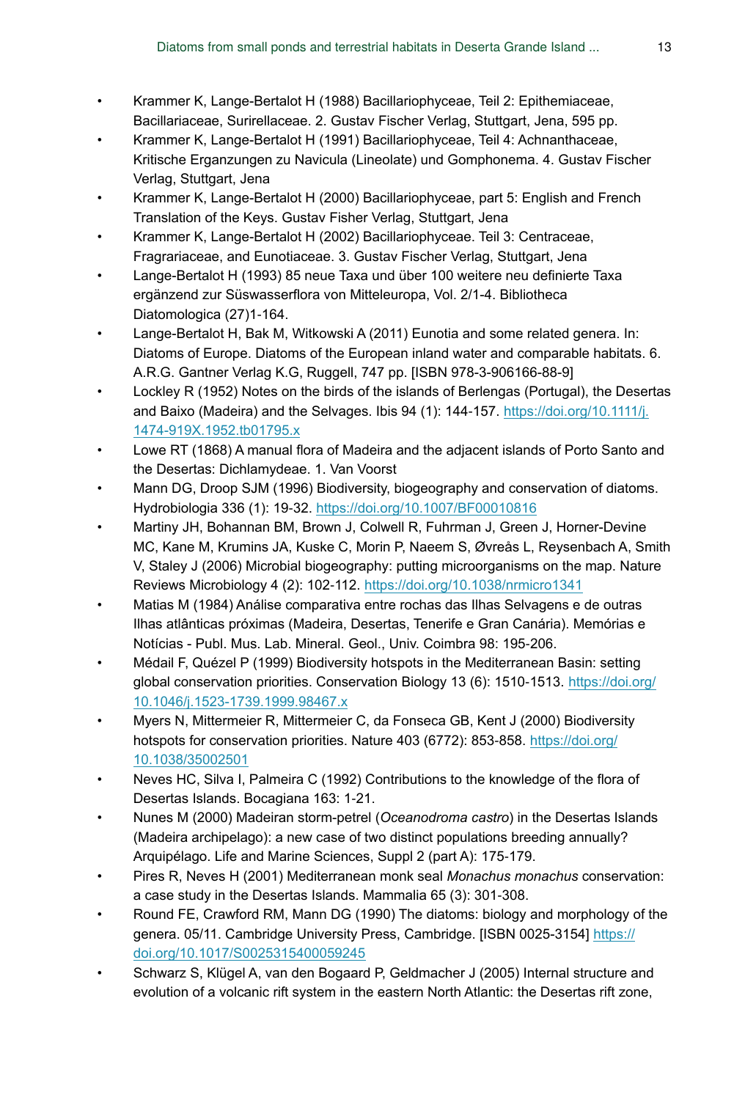- Krammer K, Lange-Bertalot H (1988) Bacillariophyceae, Teil 2: Epithemiaceae, Bacillariaceae, Surirellaceae. 2. Gustav Fischer Verlag, Stuttgart, Jena, 595 pp.
- Krammer K, Lange-Bertalot H (1991) Bacillariophyceae, Teil 4: Achnanthaceae, Kritische Erganzungen zu Navicula (Lineolate) und Gomphonema. 4. Gustav Fischer Verlag, Stuttgart, Jena
- Krammer K, Lange-Bertalot H (2000) Bacillariophyceae, part 5: English and French Translation of the Keys. Gustav Fisher Verlag, Stuttgart, Jena
- Krammer K, Lange-Bertalot H (2002) Bacillariophyceae. Teil 3: Centraceae, Fragrariaceae, and Eunotiaceae. 3. Gustav Fischer Verlag, Stuttgart, Jena
- Lange-Bertalot H (1993) 85 neue Taxa und über 100 weitere neu definierte Taxa ergänzend zur Süswasserflora von Mitteleuropa, Vol. 2/1-4. Bibliotheca Diatomologica (27)1-164.
- Lange-Bertalot H, Bak M, Witkowski A (2011) Eunotia and some related genera. In: Diatoms of Europe. Diatoms of the European inland water and comparable habitats. 6. A.R.G. Gantner Verlag K.G, Ruggell, 747 pp. [ISBN 978-3-906166-88-9]
- Lockley R (1952) Notes on the birds of the islands of Berlengas (Portugal), the Desertas and Baixo (Madeira) and the Selvages. Ibis 94 (1): 144-157. [https://doi.org/10.1111/j.](https://doi.org/10.1111/j.1474-919X.1952.tb01795.x) [1474-919X.1952.tb01795.x](https://doi.org/10.1111/j.1474-919X.1952.tb01795.x)
- Lowe RT (1868) A manual flora of Madeira and the adjacent islands of Porto Santo and the Desertas: Dichlamydeae. 1. Van Voorst
- Mann DG, Droop SJM (1996) Biodiversity, biogeography and conservation of diatoms. Hydrobiologia 336 (1): 19‑32. <https://doi.org/10.1007/BF00010816>
- Martiny JH, Bohannan BM, Brown J, Colwell R, Fuhrman J, Green J, Horner-Devine MC, Kane M, Krumins JA, Kuske C, Morin P, Naeem S, Øvreås L, Reysenbach A, Smith V, Staley J (2006) Microbial biogeography: putting microorganisms on the map. Nature Reviews Microbiology 4 (2): 102-112.<https://doi.org/10.1038/nrmicro1341>
- Matias M (1984) Análise comparativa entre rochas das Ilhas Selvagens e de outras Ilhas atlânticas próximas (Madeira, Desertas, Tenerife e Gran Canária). Memórias e Notícias - Publ. Mus. Lab. Mineral. Geol., Univ. Coimbra 98: 195‑206.
- Médail F, Quézel P (1999) Biodiversity hotspots in the Mediterranean Basin: setting global conservation priorities. Conservation Biology 13 (6): 1510-1513. [https://doi.org/](https://doi.org/10.1046/j.1523-1739.1999.98467.x) [10.1046/j.1523-1739.1999.98467.x](https://doi.org/10.1046/j.1523-1739.1999.98467.x)
- Myers N, Mittermeier R, Mittermeier C, da Fonseca GB, Kent J (2000) Biodiversity hotspots for conservation priorities. Nature 403 (6772): 853-858. [https://doi.org/](https://doi.org/10.1038/35002501) [10.1038/35002501](https://doi.org/10.1038/35002501)
- Neves HC, Silva I, Palmeira C (1992) Contributions to the knowledge of the flora of Desertas Islands. Bocagiana 163: 1‑21.
- Nunes M (2000) Madeiran storm-petrel (*Oceanodroma castro*) in the Desertas Islands (Madeira archipelago): a new case of two distinct populations breeding annually? Arquipélago. Life and Marine Sciences, Suppl 2 (part A): 175‑179.
- Pires R, Neves H (2001) Mediterranean monk seal *Monachus monachus* conservation: a case study in the Desertas Islands. Mammalia 65 (3): 301‑308.
- Round FE, Crawford RM, Mann DG (1990) The diatoms: biology and morphology of the genera. 05/11. Cambridge University Press, Cambridge. [ISBN 0025-3154] [https://](https://doi.org/10.1017/S0025315400059245) [doi.org/10.1017/S0025315400059245](https://doi.org/10.1017/S0025315400059245)
- Schwarz S, Klügel A, van den Bogaard P, Geldmacher J (2005) Internal structure and evolution of a volcanic rift system in the eastern North Atlantic: the Desertas rift zone,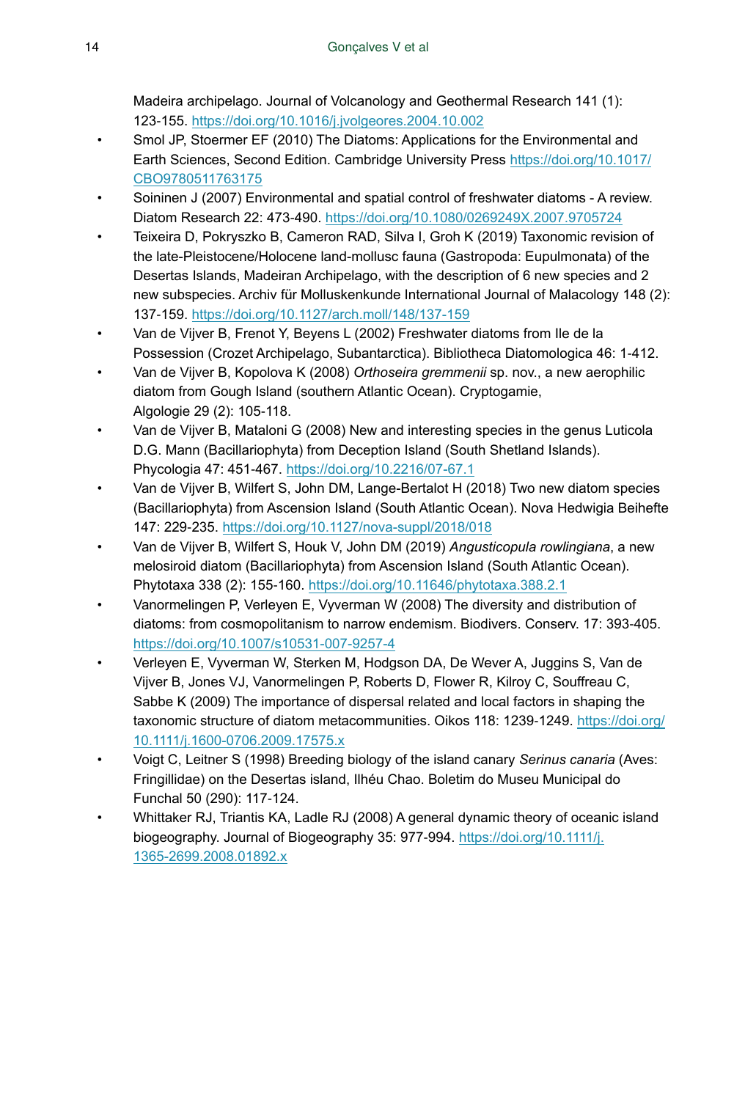Madeira archipelago. Journal of Volcanology and Geothermal Research 141 (1): 123‑155. <https://doi.org/10.1016/j.jvolgeores.2004.10.002>

- Smol JP, Stoermer EF (2010) The Diatoms: Applications for the Environmental and Earth Sciences, Second Edition. Cambridge University Press [https://doi.org/10.1017/](https://doi.org/10.1017/CBO9780511763175) [CBO9780511763175](https://doi.org/10.1017/CBO9780511763175)
- Soininen J (2007) Environmental and spatial control of freshwater diatoms A review. Diatom Research 22: 473‑490.<https://doi.org/10.1080/0269249X.2007.9705724>
- Teixeira D, Pokryszko B, Cameron RAD, Silva I, Groh K (2019) Taxonomic revision of the late-Pleistocene/Holocene land-mollusc fauna (Gastropoda: Eupulmonata) of the Desertas Islands, Madeiran Archipelago, with the description of 6 new species and 2 new subspecies. Archiv für Molluskenkunde International Journal of Malacology 148 (2): 137‑159. <https://doi.org/10.1127/arch.moll/148/137-159>
- Van de Vijver B, Frenot Y, Beyens L (2002) Freshwater diatoms from Ile de la Possession (Crozet Archipelago, Subantarctica). Bibliotheca Diatomologica 46: 1‑412.
- Van de Vijver B, Kopolova K (2008) *Orthoseira gremmenii* sp. nov., a new aerophilic diatom from Gough Island (southern Atlantic Ocean). Cryptogamie, Algologie 29 (2): 105‑118.
- Van de Vijver B, Mataloni G (2008) New and interesting species in the genus Luticola D.G. Mann (Bacillariophyta) from Deception Island (South Shetland Islands). Phycologia 47: 451‑467. <https://doi.org/10.2216/07-67.1>
- Van de Vijver B, Wilfert S, John DM, Lange-Bertalot H (2018) Two new diatom species (Bacillariophyta) from Ascension Island (South Atlantic Ocean). Nova Hedwigia Beihefte 147: 229‑235. <https://doi.org/10.1127/nova-suppl/2018/018>
- Van de Vijver B, Wilfert S, Houk V, John DM (2019) *Angusticopula rowlingiana*, a new melosiroid diatom (Bacillariophyta) from Ascension Island (South Atlantic Ocean). Phytotaxa 338 (2): 155‑160. <https://doi.org/10.11646/phytotaxa.388.2.1>
- Vanormelingen P, Verleyen E, Vyverman W (2008) The diversity and distribution of diatoms: from cosmopolitanism to narrow endemism. Biodivers. Conserv. 17: 393‑405. <https://doi.org/10.1007/s10531-007-9257-4>
- Verleyen E, Vyverman W, Sterken M, Hodgson DA, De Wever A, Juggins S, Van de Vijver B, Jones VJ, Vanormelingen P, Roberts D, Flower R, Kilroy C, Souffreau C, Sabbe K (2009) The importance of dispersal related and local factors in shaping the taxonomic structure of diatom metacommunities. Oikos 118: 1239-1249. [https://doi.org/](https://doi.org/10.1111/j.1600-0706.2009.17575.x) [10.1111/j.1600-0706.2009.17575.x](https://doi.org/10.1111/j.1600-0706.2009.17575.x)
- Voigt C, Leitner S (1998) Breeding biology of the island canary *Serinus canaria* (Aves: Fringillidae) on the Desertas island, Ilhéu Chao. Boletim do Museu Municipal do Funchal 50 (290): 117‑124.
- Whittaker RJ, Triantis KA, Ladle RJ (2008) A general dynamic theory of oceanic island biogeography. Journal of Biogeography 35: 977-994. [https://doi.org/10.1111/j.](https://doi.org/10.1111/j.1365-2699.2008.01892.x) [1365-2699.2008.01892.x](https://doi.org/10.1111/j.1365-2699.2008.01892.x)